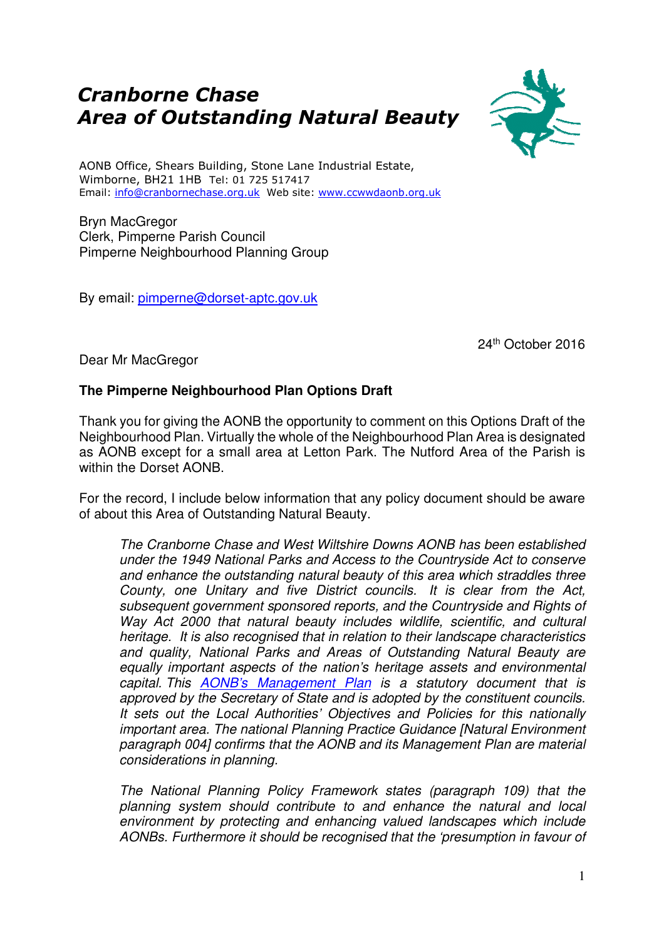## Cranborne Chase Area of Outstanding Natural Beauty



AONB Office, Shears Building, Stone Lane Industrial Estate, Wimborne, BH21 1HB Tel: 01 725 517417 Email: info@cranbornechase.org.uk Web site: www.ccwwdaonb.org.uk

Bryn MacGregor Clerk, Pimperne Parish Council Pimperne Neighbourhood Planning Group

By email: pimperne@dorset-aptc.gov.uk

24th October 2016

Dear Mr MacGregor

## **The Pimperne Neighbourhood Plan Options Draft**

Thank you for giving the AONB the opportunity to comment on this Options Draft of the Neighbourhood Plan. Virtually the whole of the Neighbourhood Plan Area is designated as AONB except for a small area at Letton Park. The Nutford Area of the Parish is within the Dorset AONB.

For the record, I include below information that any policy document should be aware of about this Area of Outstanding Natural Beauty.

The Cranborne Chase and West Wiltshire Downs AONB has been established under the 1949 National Parks and Access to the Countryside Act to conserve and enhance the outstanding natural beauty of this area which straddles three County, one Unitary and five District councils. It is clear from the Act, subsequent government sponsored reports, and the Countryside and Rights of Way Act 2000 that natural beauty includes wildlife, scientific, and cultural heritage. It is also recognised that in relation to their landscape characteristics and quality, National Parks and Areas of Outstanding Natural Beauty are equally important aspects of the nation's heritage assets and environmental capital. This AONB's Management Plan is a statutory document that is approved by the Secretary of State and is adopted by the constituent councils. It sets out the Local Authorities' Objectives and Policies for this nationally important area. The national Planning Practice Guidance [Natural Environment paragraph 004] confirms that the AONB and its Management Plan are material considerations in planning.

The National Planning Policy Framework states (paragraph 109) that the planning system should contribute to and enhance the natural and local environment by protecting and enhancing valued landscapes which include AONBs. Furthermore it should be recognised that the 'presumption in favour of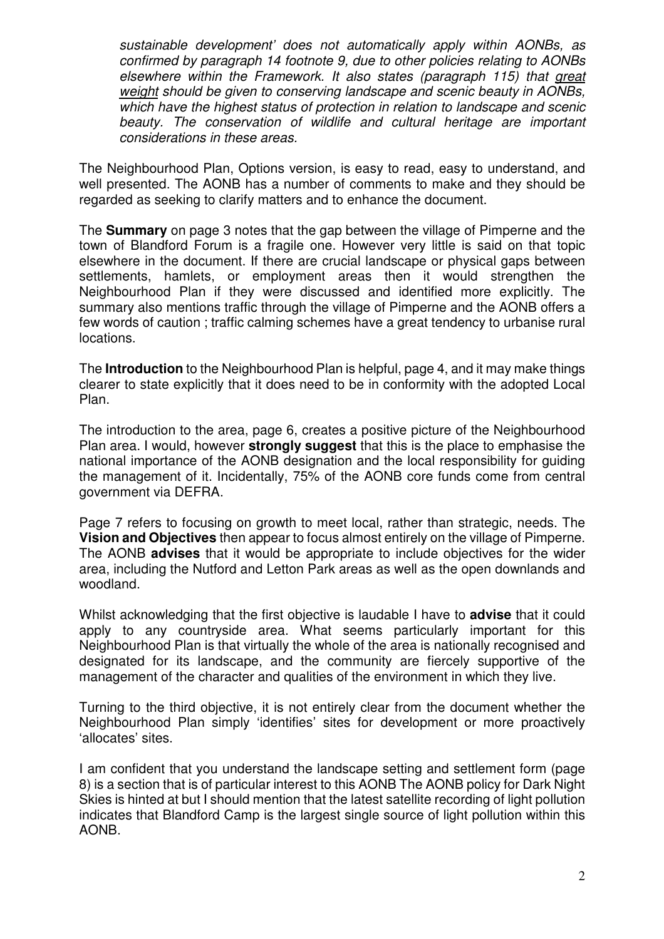sustainable development' does not automatically apply within AONBs, as confirmed by paragraph 14 footnote 9, due to other policies relating to AONBs elsewhere within the Framework. It also states (paragraph 115) that great weight should be given to conserving landscape and scenic beauty in AONBs, which have the highest status of protection in relation to landscape and scenic beauty. The conservation of wildlife and cultural heritage are important considerations in these areas.

The Neighbourhood Plan, Options version, is easy to read, easy to understand, and well presented. The AONB has a number of comments to make and they should be regarded as seeking to clarify matters and to enhance the document.

The **Summary** on page 3 notes that the gap between the village of Pimperne and the town of Blandford Forum is a fragile one. However very little is said on that topic elsewhere in the document. If there are crucial landscape or physical gaps between settlements, hamlets, or employment areas then it would strengthen the Neighbourhood Plan if they were discussed and identified more explicitly. The summary also mentions traffic through the village of Pimperne and the AONB offers a few words of caution ; traffic calming schemes have a great tendency to urbanise rural locations.

The **Introduction** to the Neighbourhood Plan is helpful, page 4, and it may make things clearer to state explicitly that it does need to be in conformity with the adopted Local Plan.

The introduction to the area, page 6, creates a positive picture of the Neighbourhood Plan area. I would, however **strongly suggest** that this is the place to emphasise the national importance of the AONB designation and the local responsibility for guiding the management of it. Incidentally, 75% of the AONB core funds come from central government via DEFRA.

Page 7 refers to focusing on growth to meet local, rather than strategic, needs. The **Vision and Objectives** then appear to focus almost entirely on the village of Pimperne. The AONB **advises** that it would be appropriate to include objectives for the wider area, including the Nutford and Letton Park areas as well as the open downlands and woodland.

Whilst acknowledging that the first objective is laudable I have to **advise** that it could apply to any countryside area. What seems particularly important for this Neighbourhood Plan is that virtually the whole of the area is nationally recognised and designated for its landscape, and the community are fiercely supportive of the management of the character and qualities of the environment in which they live.

Turning to the third objective, it is not entirely clear from the document whether the Neighbourhood Plan simply 'identifies' sites for development or more proactively 'allocates' sites.

I am confident that you understand the landscape setting and settlement form (page 8) is a section that is of particular interest to this AONB The AONB policy for Dark Night Skies is hinted at but I should mention that the latest satellite recording of light pollution indicates that Blandford Camp is the largest single source of light pollution within this AONB.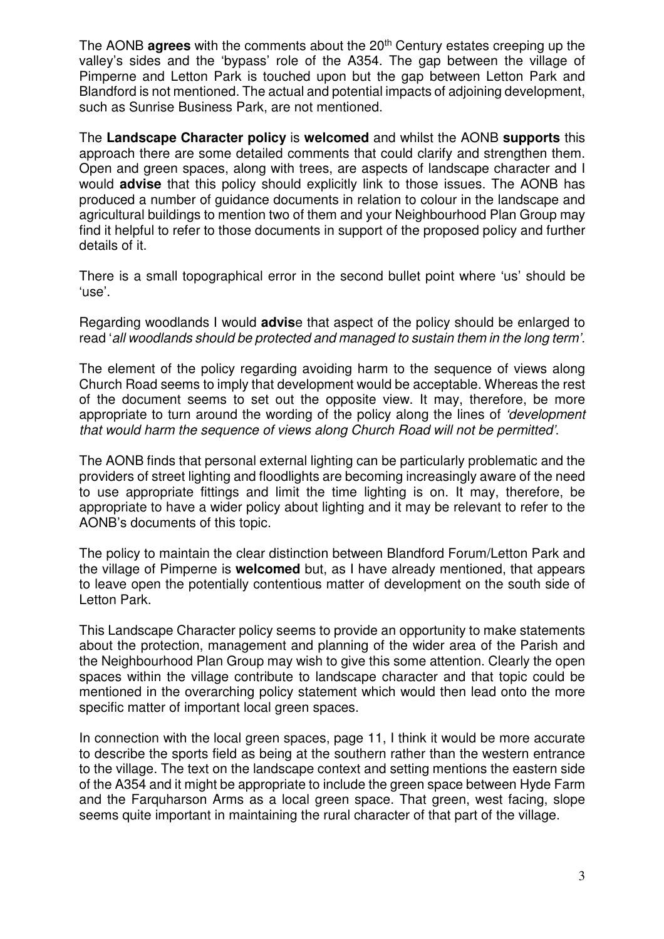The AONB **agrees** with the comments about the 20<sup>th</sup> Century estates creeping up the valley's sides and the 'bypass' role of the A354. The gap between the village of Pimperne and Letton Park is touched upon but the gap between Letton Park and Blandford is not mentioned. The actual and potential impacts of adjoining development, such as Sunrise Business Park, are not mentioned.

The **Landscape Character policy** is **welcomed** and whilst the AONB **supports** this approach there are some detailed comments that could clarify and strengthen them. Open and green spaces, along with trees, are aspects of landscape character and I would **advise** that this policy should explicitly link to those issues. The AONB has produced a number of guidance documents in relation to colour in the landscape and agricultural buildings to mention two of them and your Neighbourhood Plan Group may find it helpful to refer to those documents in support of the proposed policy and further details of it.

There is a small topographical error in the second bullet point where 'us' should be 'use'.

Regarding woodlands I would **advis**e that aspect of the policy should be enlarged to read 'all woodlands should be protected and managed to sustain them in the long term'.

The element of the policy regarding avoiding harm to the sequence of views along Church Road seems to imply that development would be acceptable. Whereas the rest of the document seems to set out the opposite view. It may, therefore, be more appropriate to turn around the wording of the policy along the lines of 'development that would harm the sequence of views along Church Road will not be permitted'.

The AONB finds that personal external lighting can be particularly problematic and the providers of street lighting and floodlights are becoming increasingly aware of the need to use appropriate fittings and limit the time lighting is on. It may, therefore, be appropriate to have a wider policy about lighting and it may be relevant to refer to the AONB's documents of this topic.

The policy to maintain the clear distinction between Blandford Forum/Letton Park and the village of Pimperne is **welcomed** but, as I have already mentioned, that appears to leave open the potentially contentious matter of development on the south side of Letton Park.

This Landscape Character policy seems to provide an opportunity to make statements about the protection, management and planning of the wider area of the Parish and the Neighbourhood Plan Group may wish to give this some attention. Clearly the open spaces within the village contribute to landscape character and that topic could be mentioned in the overarching policy statement which would then lead onto the more specific matter of important local green spaces.

In connection with the local green spaces, page 11, I think it would be more accurate to describe the sports field as being at the southern rather than the western entrance to the village. The text on the landscape context and setting mentions the eastern side of the A354 and it might be appropriate to include the green space between Hyde Farm and the Farquharson Arms as a local green space. That green, west facing, slope seems quite important in maintaining the rural character of that part of the village.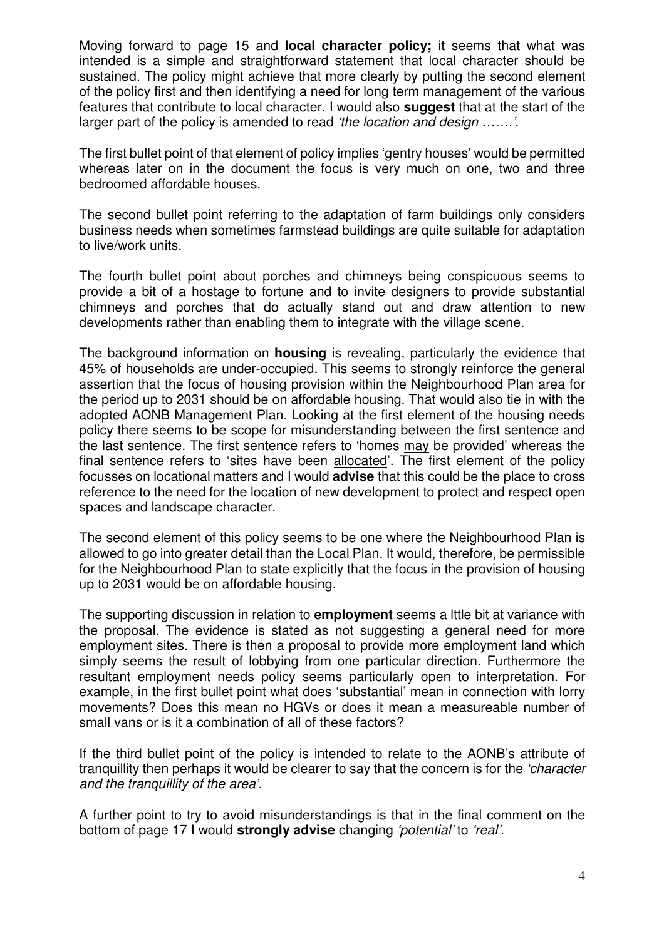Moving forward to page 15 and **local character policy;** it seems that what was intended is a simple and straightforward statement that local character should be sustained. The policy might achieve that more clearly by putting the second element of the policy first and then identifying a need for long term management of the various features that contribute to local character. I would also **suggest** that at the start of the larger part of the policy is amended to read 'the location and design …….'.

The first bullet point of that element of policy implies 'gentry houses' would be permitted whereas later on in the document the focus is very much on one, two and three bedroomed affordable houses.

The second bullet point referring to the adaptation of farm buildings only considers business needs when sometimes farmstead buildings are quite suitable for adaptation to live/work units.

The fourth bullet point about porches and chimneys being conspicuous seems to provide a bit of a hostage to fortune and to invite designers to provide substantial chimneys and porches that do actually stand out and draw attention to new developments rather than enabling them to integrate with the village scene.

The background information on **housing** is revealing, particularly the evidence that 45% of households are under-occupied. This seems to strongly reinforce the general assertion that the focus of housing provision within the Neighbourhood Plan area for the period up to 2031 should be on affordable housing. That would also tie in with the adopted AONB Management Plan. Looking at the first element of the housing needs policy there seems to be scope for misunderstanding between the first sentence and the last sentence. The first sentence refers to 'homes may be provided' whereas the final sentence refers to 'sites have been allocated'. The first element of the policy focusses on locational matters and I would **advise** that this could be the place to cross reference to the need for the location of new development to protect and respect open spaces and landscape character.

The second element of this policy seems to be one where the Neighbourhood Plan is allowed to go into greater detail than the Local Plan. It would, therefore, be permissible for the Neighbourhood Plan to state explicitly that the focus in the provision of housing up to 2031 would be on affordable housing.

The supporting discussion in relation to **employment** seems a lttle bit at variance with the proposal. The evidence is stated as not suggesting a general need for more employment sites. There is then a proposal to provide more employment land which simply seems the result of lobbying from one particular direction. Furthermore the resultant employment needs policy seems particularly open to interpretation. For example, in the first bullet point what does 'substantial' mean in connection with lorry movements? Does this mean no HGVs or does it mean a measureable number of small vans or is it a combination of all of these factors?

If the third bullet point of the policy is intended to relate to the AONB's attribute of tranquillity then perhaps it would be clearer to say that the concern is for the 'character and the tranquillity of the area'.

A further point to try to avoid misunderstandings is that in the final comment on the bottom of page 17 I would **strongly advise** changing 'potential' to 'real'.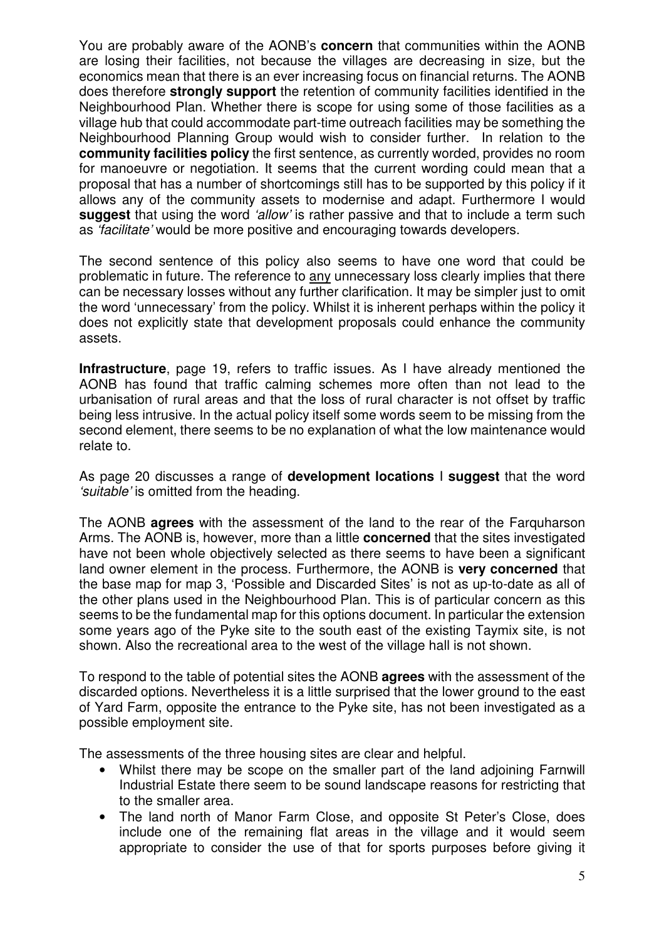You are probably aware of the AONB's **concern** that communities within the AONB are losing their facilities, not because the villages are decreasing in size, but the economics mean that there is an ever increasing focus on financial returns. The AONB does therefore **strongly support** the retention of community facilities identified in the Neighbourhood Plan. Whether there is scope for using some of those facilities as a village hub that could accommodate part-time outreach facilities may be something the Neighbourhood Planning Group would wish to consider further. In relation to the **community facilities policy** the first sentence, as currently worded, provides no room for manoeuvre or negotiation. It seems that the current wording could mean that a proposal that has a number of shortcomings still has to be supported by this policy if it allows any of the community assets to modernise and adapt. Furthermore I would **suggest** that using the word 'allow' is rather passive and that to include a term such as 'facilitate' would be more positive and encouraging towards developers.

The second sentence of this policy also seems to have one word that could be problematic in future. The reference to any unnecessary loss clearly implies that there can be necessary losses without any further clarification. It may be simpler just to omit the word 'unnecessary' from the policy. Whilst it is inherent perhaps within the policy it does not explicitly state that development proposals could enhance the community assets.

**Infrastructure**, page 19, refers to traffic issues. As I have already mentioned the AONB has found that traffic calming schemes more often than not lead to the urbanisation of rural areas and that the loss of rural character is not offset by traffic being less intrusive. In the actual policy itself some words seem to be missing from the second element, there seems to be no explanation of what the low maintenance would relate to.

As page 20 discusses a range of **development locations** I **suggest** that the word 'suitable' is omitted from the heading.

The AONB **agrees** with the assessment of the land to the rear of the Farquharson Arms. The AONB is, however, more than a little **concerned** that the sites investigated have not been whole objectively selected as there seems to have been a significant land owner element in the process. Furthermore, the AONB is **very concerned** that the base map for map 3, 'Possible and Discarded Sites' is not as up-to-date as all of the other plans used in the Neighbourhood Plan. This is of particular concern as this seems to be the fundamental map for this options document. In particular the extension some years ago of the Pyke site to the south east of the existing Taymix site, is not shown. Also the recreational area to the west of the village hall is not shown.

To respond to the table of potential sites the AONB **agrees** with the assessment of the discarded options. Nevertheless it is a little surprised that the lower ground to the east of Yard Farm, opposite the entrance to the Pyke site, has not been investigated as a possible employment site.

The assessments of the three housing sites are clear and helpful.

- Whilst there may be scope on the smaller part of the land adjoining Farnwill Industrial Estate there seem to be sound landscape reasons for restricting that to the smaller area.
- The land north of Manor Farm Close, and opposite St Peter's Close, does include one of the remaining flat areas in the village and it would seem appropriate to consider the use of that for sports purposes before giving it